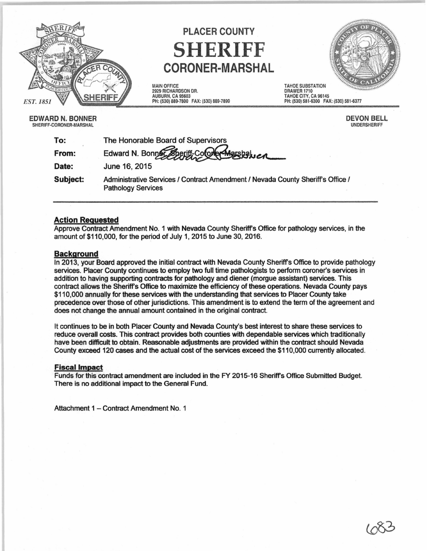

# PLACER COUNTY SHERIFF CORONER-MARSHAL

MAIN OFFICE 2929 RICHARDSON DR. AUBURN, CA 95603 PH: (530)889-7800 FAX: (530) 889-7899



EDWARD N. BONNER SHERIFF-CORONER-MARSHAL

DEVON BELL UNDERSHERIFF

DRAWER 1710

PH: (530) 581-6300 FAX: (530) 581-6377

| To:      | The Honorable Board of Supervisors                                                                           |
|----------|--------------------------------------------------------------------------------------------------------------|
| From:    | Edward N. Bonner Sheriff Coroner Marshalver                                                                  |
| Date:    | June 16, 2015                                                                                                |
| Subject: | Administrative Services / Contract Amendment / Nevada County Sheriff's Office /<br><b>Pathology Services</b> |

## Action Requested

Approve Contract Amendment No. 1 with Nevada County Sheriffs Office for pathology services, in the amount of \$110,000, for the period of July 1, 2015 to June 30, 2016.

### **Background**

In 2013, your Board approved the initial contract with Nevada County Sheriffs Office to provide pathology services. Placer County continues to employ two full time pathologists to perform coroner's services in addition to having supporting contracts for pathology and diener (morgue assistant) services. This contract allows the Sheriffs Office to maximize the efficiency of these operations. Nevada County pays \$110,000 annually for these services with the understanding that services to Placer County take precedence over those of other jurisdictions. This amendment is to extend the term of the agreement and does not change the annual amount contained in the original contract.

It continues to be in both Placer County and Nevada County's best interest to share these services to reduce overall costs. This contract provides both counties with dependable services which traditionally have been difficult to obtain. Reasonable adjustments are provided within the contract should Nevada County exceed 120 cases and the actual cost of the services exceed the \$110,000 currently allocated.

#### Fiscal Impact

Funds for this contract amendment are included in the FY 2015-16 Sheriffs Office Submitted Budget. There is no additional impact to the General Fund.

Attachment 1 - Contract Amendment No. 1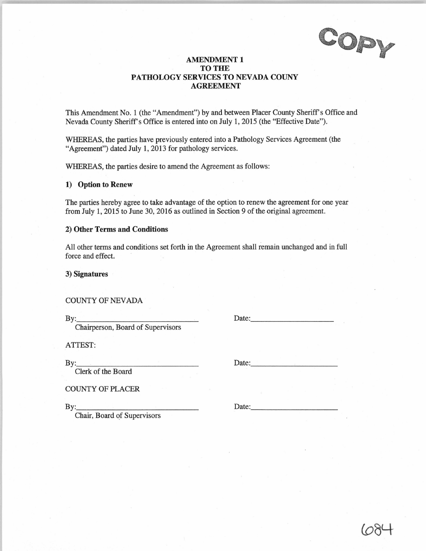COPY

## **AMENDMENT 1 TO THE PATHOLOGY SERVICES TO NEVADA COUNY AGREEMENT**

This Amendment No. 1 (the "Amendment") by and between Placer County Sheriff's Office and Nevada County Sheriff's Office is entered into on July 1, 2015 (the "Effective Date").

WHEREAS, the parties have previously entered into a Pathology Services Agreement (the "Agreement") dated July **1,** 2013 for pathology services.

WHEREAS, the parties desire to amend the Agreement as follows:

#### **1) Option to Renew**

The parties hereby agree to take advantage of the option to renew the agreement for one year from July 1, 2015 to June 30, 2016 as outlined in Section 9 of the original agreement.

#### **2) Other Terms and Conditions**

All other terms and conditions set forth in the Agreement shall remain unchanged and in full force and effect.

**3) Signatures** 

COUNTY OF NEVADA

 $\mathbf{By:}$ 

Chairperson, Board of Supervisors

ATTEST:

By: \_\_\_\_\_\_\_\_\_\_\_ \_

Clerk of the Board

COUNTY OF PLACER  $\mathbf{B} \mathbf{y}$ :

Chair, Board of Supervisors

Date:

Date:

Date: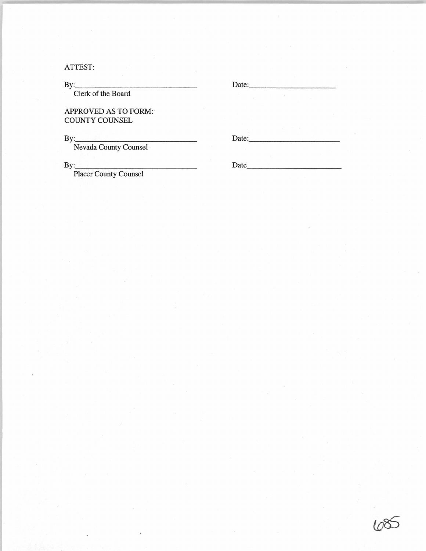ATTEST:

| By:                                                                                                                                                   | Date: |  |
|-------------------------------------------------------------------------------------------------------------------------------------------------------|-------|--|
| Clerk of the Board                                                                                                                                    |       |  |
| <b>APPROVED AS TO FORM:</b><br><b>COUNTY COUNSEL</b>                                                                                                  |       |  |
| By:<br><u> 1990 - Andrea Stationen, markingar eta erroman eta erroman erroman ez erroman ez erroman ez erroman ez ez ez </u><br>Nevada County Counsel | Date: |  |
| By:                                                                                                                                                   | Date  |  |

Placer County Counsel